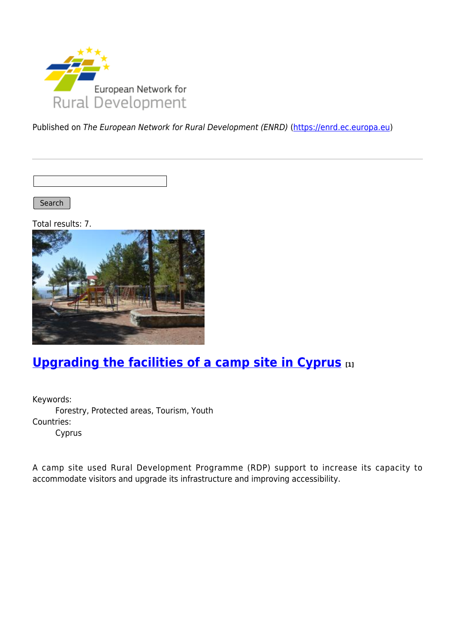

Published on The European Network for Rural Development (ENRD) [\(https://enrd.ec.europa.eu](https://enrd.ec.europa.eu))

Search |

Total results: 7.



# **[Upgrading the facilities of a camp site in Cyprus](https://enrd.ec.europa.eu/projects-practice/upgrading-facilities-camp-site-cyprus_en) [1]**

Keywords: Forestry, Protected areas, Tourism, Youth Countries: Cyprus

A camp site used Rural Development Programme (RDP) support to increase its capacity to accommodate visitors and upgrade its infrastructure and improving accessibility.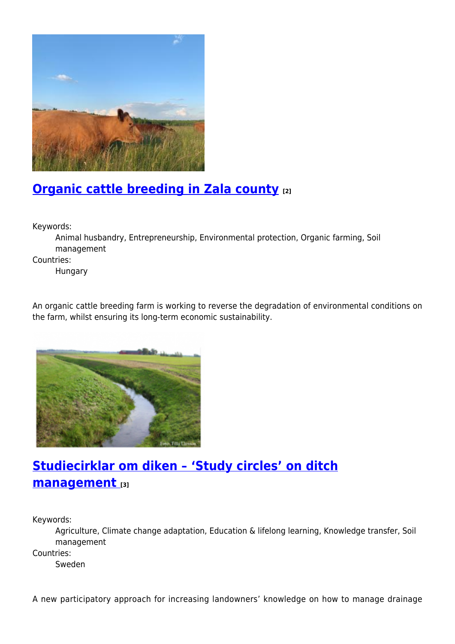

## **[Organic cattle breeding in Zala county](https://enrd.ec.europa.eu/projects-practice/organic-cattle-breeding-zala-county_en) [2]**

Keywords:

Animal husbandry, Entrepreneurship, Environmental protection, Organic farming, Soil management

Countries:

Hungary

An organic cattle breeding farm is working to reverse the degradation of environmental conditions on the farm, whilst ensuring its long-term economic sustainability.



# **[Studiecirklar om diken – 'Study circles' on ditch](https://enrd.ec.europa.eu/projects-practice/studiecirklar-om-diken-study-circles-ditch-management_en) [management](https://enrd.ec.europa.eu/projects-practice/studiecirklar-om-diken-study-circles-ditch-management_en) [3]**

Keywords:

Agriculture, Climate change adaptation, Education & lifelong learning, Knowledge transfer, Soil management

Countries:

Sweden

A new participatory approach for increasing landowners' knowledge on how to manage drainage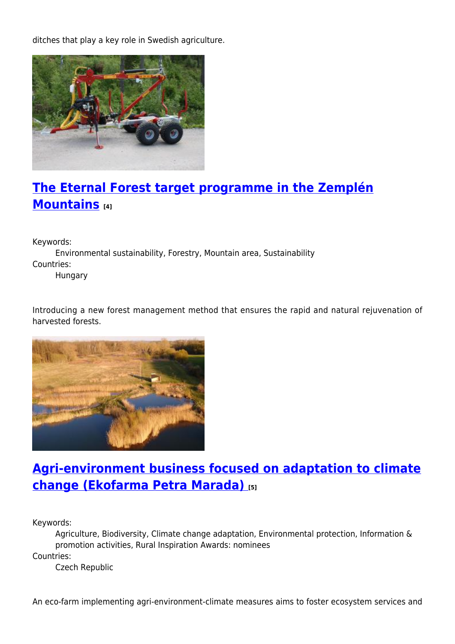ditches that play a key role in Swedish agriculture.



## **[The Eternal Forest target programme in the Zemplén](https://enrd.ec.europa.eu/projects-practice/eternal-forest-target-programme-zemplen-mountains_en) [Mountains](https://enrd.ec.europa.eu/projects-practice/eternal-forest-target-programme-zemplen-mountains_en) [4]**

Keywords:

Environmental sustainability, Forestry, Mountain area, Sustainability Countries: Hungary

Introducing a new forest management method that ensures the rapid and natural rejuvenation of harvested forests.



### **[Agri-environment business focused on adaptation to climate](https://enrd.ec.europa.eu/projects-practice/agri-environment-business-focused-adaptation-climate-change-ekofarma-petra-marada_en) [change \(Ekofarma Petra Marada\)](https://enrd.ec.europa.eu/projects-practice/agri-environment-business-focused-adaptation-climate-change-ekofarma-petra-marada_en) [5]**

Keywords:

Agriculture, Biodiversity, Climate change adaptation, Environmental protection, Information & promotion activities, Rural Inspiration Awards: nominees Countries:

Czech Republic

An eco-farm implementing agri-environment-climate measures aims to foster ecosystem services and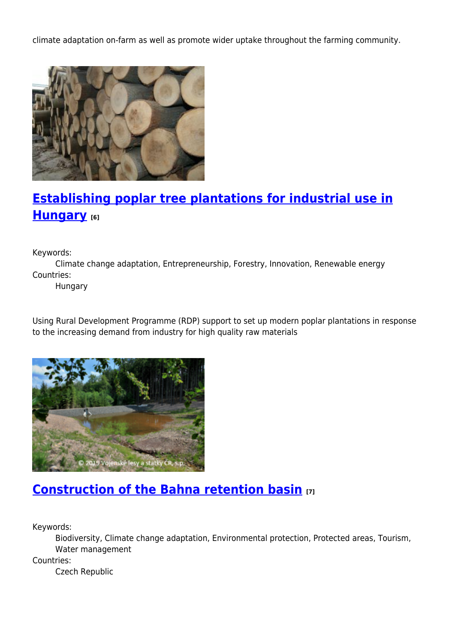climate adaptation on-farm as well as promote wider uptake throughout the farming community.



# **[Establishing poplar tree plantations for industrial use in](https://enrd.ec.europa.eu/projects-practice/establishing-poplar-tree-plantations-industrial-use-hungary_en) [Hungary](https://enrd.ec.europa.eu/projects-practice/establishing-poplar-tree-plantations-industrial-use-hungary_en) [6]**

Keywords:

Climate change adaptation, Entrepreneurship, Forestry, Innovation, Renewable energy Countries:

Hungary

Using Rural Development Programme (RDP) support to set up modern poplar plantations in response to the increasing demand from industry for high quality raw materials



#### **[Construction of the Bahna retention basin](https://enrd.ec.europa.eu/projects-practice/construction-bahna-retention-basin_en) [7]**

Keywords:

Biodiversity, Climate change adaptation, Environmental protection, Protected areas, Tourism, Water management

Countries:

Czech Republic